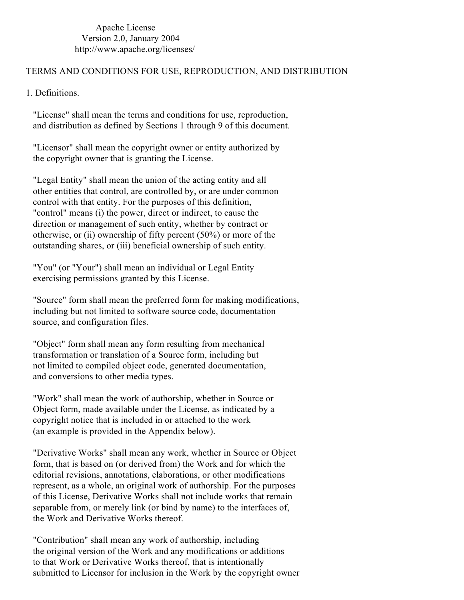Apache License Version 2.0, January 2004 http://www.apache.org/licenses/

## TERMS AND CONDITIONS FOR USE, REPRODUCTION, AND DISTRIBUTION

1. Definitions.

"License" shall mean the terms and conditions for use, reproduction, and distribution as defined by Sections 1 through 9 of this document.

"Licensor" shall mean the copyright owner or entity authorized by the copyright owner that is granting the License.

"Legal Entity" shall mean the union of the acting entity and all other entities that control, are controlled by, or are under common control with that entity. For the purposes of this definition, "control" means (i) the power, direct or indirect, to cause the direction or management of such entity, whether by contract or otherwise, or (ii) ownership of fifty percent (50%) or more of the outstanding shares, or (iii) beneficial ownership of such entity.

"You" (or "Your") shall mean an individual or Legal Entity exercising permissions granted by this License.

"Source" form shall mean the preferred form for making modifications, including but not limited to software source code, documentation source, and configuration files.

"Object" form shall mean any form resulting from mechanical transformation or translation of a Source form, including but not limited to compiled object code, generated documentation, and conversions to other media types.

"Work" shall mean the work of authorship, whether in Source or Object form, made available under the License, as indicated by a copyright notice that is included in or attached to the work (an example is provided in the Appendix below).

"Derivative Works" shall mean any work, whether in Source or Object form, that is based on (or derived from) the Work and for which the editorial revisions, annotations, elaborations, or other modifications represent, as a whole, an original work of authorship. For the purposes of this License, Derivative Works shall not include works that remain separable from, or merely link (or bind by name) to the interfaces of, the Work and Derivative Works thereof.

"Contribution" shall mean any work of authorship, including the original version of the Work and any modifications or additions to that Work or Derivative Works thereof, that is intentionally submitted to Licensor for inclusion in the Work by the copyright owner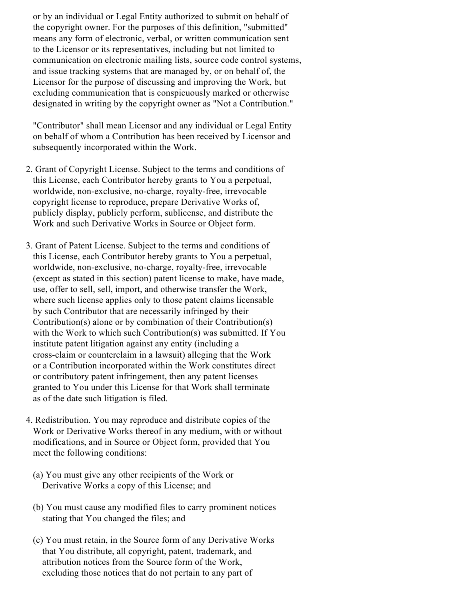or by an individual or Legal Entity authorized to submit on behalf of the copyright owner. For the purposes of this definition, "submitted" means any form of electronic, verbal, or written communication sent to the Licensor or its representatives, including but not limited to communication on electronic mailing lists, source code control systems, and issue tracking systems that are managed by, or on behalf of, the Licensor for the purpose of discussing and improving the Work, but excluding communication that is conspicuously marked or otherwise designated in writing by the copyright owner as "Not a Contribution."

"Contributor" shall mean Licensor and any individual or Legal Entity on behalf of whom a Contribution has been received by Licensor and subsequently incorporated within the Work.

- 2. Grant of Copyright License. Subject to the terms and conditions of this License, each Contributor hereby grants to You a perpetual, worldwide, non-exclusive, no-charge, royalty-free, irrevocable copyright license to reproduce, prepare Derivative Works of, publicly display, publicly perform, sublicense, and distribute the Work and such Derivative Works in Source or Object form.
- 3. Grant of Patent License. Subject to the terms and conditions of this License, each Contributor hereby grants to You a perpetual, worldwide, non-exclusive, no-charge, royalty-free, irrevocable (except as stated in this section) patent license to make, have made, use, offer to sell, sell, import, and otherwise transfer the Work, where such license applies only to those patent claims licensable by such Contributor that are necessarily infringed by their Contribution(s) alone or by combination of their Contribution(s) with the Work to which such Contribution(s) was submitted. If You institute patent litigation against any entity (including a cross-claim or counterclaim in a lawsuit) alleging that the Work or a Contribution incorporated within the Work constitutes direct or contributory patent infringement, then any patent licenses granted to You under this License for that Work shall terminate as of the date such litigation is filed.
- 4. Redistribution. You may reproduce and distribute copies of the Work or Derivative Works thereof in any medium, with or without modifications, and in Source or Object form, provided that You meet the following conditions:
	- (a) You must give any other recipients of the Work or Derivative Works a copy of this License; and
	- (b) You must cause any modified files to carry prominent notices stating that You changed the files; and
	- (c) You must retain, in the Source form of any Derivative Works that You distribute, all copyright, patent, trademark, and attribution notices from the Source form of the Work, excluding those notices that do not pertain to any part of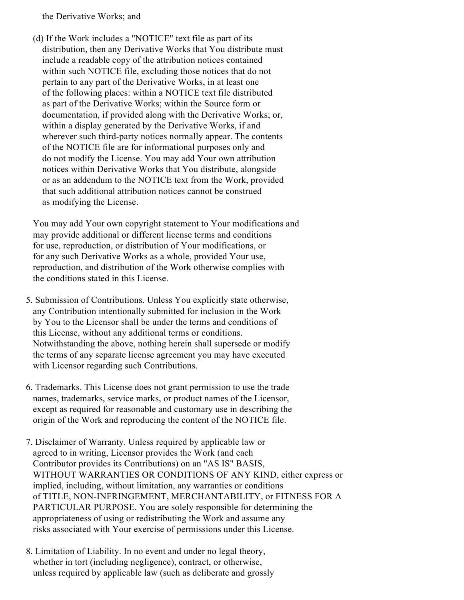the Derivative Works; and

(d) If the Work includes a "NOTICE" text file as part of its distribution, then any Derivative Works that You distribute must include a readable copy of the attribution notices contained within such NOTICE file, excluding those notices that do not pertain to any part of the Derivative Works, in at least one of the following places: within a NOTICE text file distributed as part of the Derivative Works; within the Source form or documentation, if provided along with the Derivative Works; or, within a display generated by the Derivative Works, if and wherever such third-party notices normally appear. The contents of the NOTICE file are for informational purposes only and do not modify the License. You may add Your own attribution notices within Derivative Works that You distribute, alongside or as an addendum to the NOTICE text from the Work, provided that such additional attribution notices cannot be construed as modifying the License.

You may add Your own copyright statement to Your modifications and may provide additional or different license terms and conditions for use, reproduction, or distribution of Your modifications, or for any such Derivative Works as a whole, provided Your use, reproduction, and distribution of the Work otherwise complies with the conditions stated in this License.

- 5. Submission of Contributions. Unless You explicitly state otherwise, any Contribution intentionally submitted for inclusion in the Work by You to the Licensor shall be under the terms and conditions of this License, without any additional terms or conditions. Notwithstanding the above, nothing herein shall supersede or modify the terms of any separate license agreement you may have executed with Licensor regarding such Contributions.
- 6. Trademarks. This License does not grant permission to use the trade names, trademarks, service marks, or product names of the Licensor, except as required for reasonable and customary use in describing the origin of the Work and reproducing the content of the NOTICE file.
- 7. Disclaimer of Warranty. Unless required by applicable law or agreed to in writing, Licensor provides the Work (and each Contributor provides its Contributions) on an "AS IS" BASIS, WITHOUT WARRANTIES OR CONDITIONS OF ANY KIND, either express or implied, including, without limitation, any warranties or conditions of TITLE, NON-INFRINGEMENT, MERCHANTABILITY, or FITNESS FOR A PARTICULAR PURPOSE. You are solely responsible for determining the appropriateness of using or redistributing the Work and assume any risks associated with Your exercise of permissions under this License.
- 8. Limitation of Liability. In no event and under no legal theory, whether in tort (including negligence), contract, or otherwise, unless required by applicable law (such as deliberate and grossly